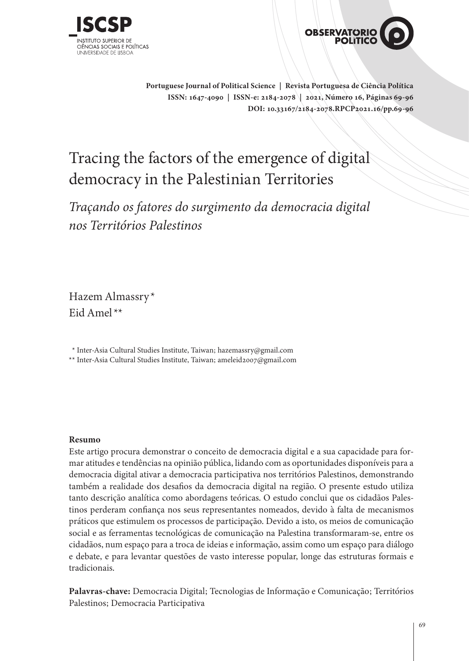



**Portuguese Journal of Political Science | Revista Portuguesa de Ciência Política ISSN: 1647-4090 | ISSN-e: 2184-2078 | 2021, Número 16, Páginas 69-96 DOI: 10.33167/2184-2078.RPCP2021.16/pp.69-96**

# Tracing the factors of the emergence of digital democracy in the Palestinian Territories

*Traçando os fatores do surgimento da democracia digital nos Territórios Palestinos*

Hazem Almassry \* Eid Amel\*\*

\*\* Inter-Asia Cultural Studies Institute, Taiwan; hazemassry@gmail.com

\*\* Inter-Asia Cultural Studies Institute, Taiwan; ameleid2007@gmail.com

#### **Resumo**

Este artigo procura demonstrar o conceito de democracia digital e a sua capacidade para formar atitudes e tendências na opinião pública, lidando com as oportunidades disponíveis para a democracia digital ativar a democracia participativa nos territórios Palestinos, demonstrando também a realidade dos desafios da democracia digital na região. O presente estudo utiliza tanto descrição analítica como abordagens teóricas. O estudo conclui que os cidadãos Palestinos perderam confiança nos seus representantes nomeados, devido à falta de mecanismos práticos que estimulem os processos de participação. Devido a isto, os meios de comunicação social e as ferramentas tecnológicas de comunicação na Palestina transformaram-se, entre os cidadãos, num espaço para a troca de ideias e informação, assim como um espaço para diálogo e debate, e para levantar questões de vasto interesse popular, longe das estruturas formais e tradicionais.

**Palavras-chave:** Democracia Digital; Tecnologias de Informação e Comunicação; Territórios Palestinos; Democracia Participativa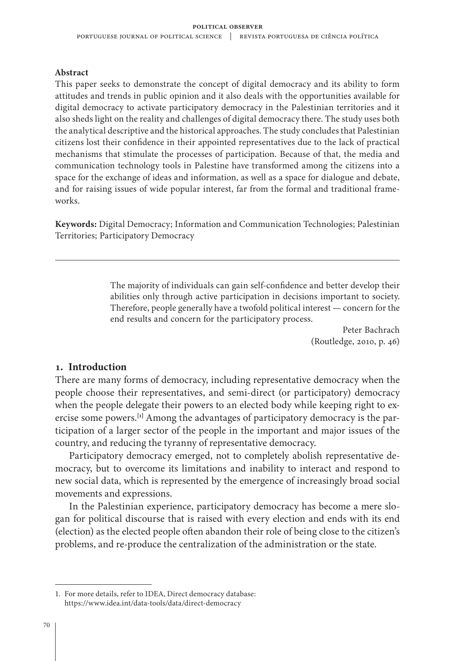#### **Abstract**

This paper seeks to demonstrate the concept of digital democracy and its ability to form attitudes and trends in public opinion and it also deals with the opportunities available for digital democracy to activate participatory democracy in the Palestinian territories and it also sheds light on the reality and challenges of digital democracy there. The study uses both the analytical descriptive and the historical approaches. The study concludes that Palestinian citizens lost their confidence in their appointed representatives due to the lack of practical mechanisms that stimulate the processes of participation. Because of that, the media and communication technology tools in Palestine have transformed among the citizens into a space for the exchange of ideas and information, as well as a space for dialogue and debate, and for raising issues of wide popular interest, far from the formal and traditional frameworks.

**Keywords:** Digital Democracy; Information and Communication Technologies; Palestinian Territories; Participatory Democracy

> The majority of individuals can gain self-confidence and better develop their abilities only through active participation in decisions important to society. Therefore, people generally have a twofold political interest — concern for the end results and concern for the participatory process.

> > Peter Bachrach (Routledge, 2010, p. 46)

#### **1. Introduction**

There are many forms of democracy, including representative democracy when the people choose their representatives, and semi-direct (or participatory) democracy when the people delegate their powers to an elected body while keeping right to exercise some powers.**[1]** Among the advantages of participatory democracy is the participation of a larger sector of the people in the important and major issues of the country, and reducing the tyranny of representative democracy.

Participatory democracy emerged, not to completely abolish representative democracy, but to overcome its limitations and inability to interact and respond to new social data, which is represented by the emergence of increasingly broad social movements and expressions.

In the Palestinian experience, participatory democracy has become a mere slogan for political discourse that is raised with every election and ends with its end (election) as the elected people often abandon their role of being close to the citizen's problems, and re-produce the centralization of the administration or the state.

<sup>1.</sup> For more details, refer to IDEA, Direct democracy database: <https://www.idea.int/data-tools/data/direct-democracy>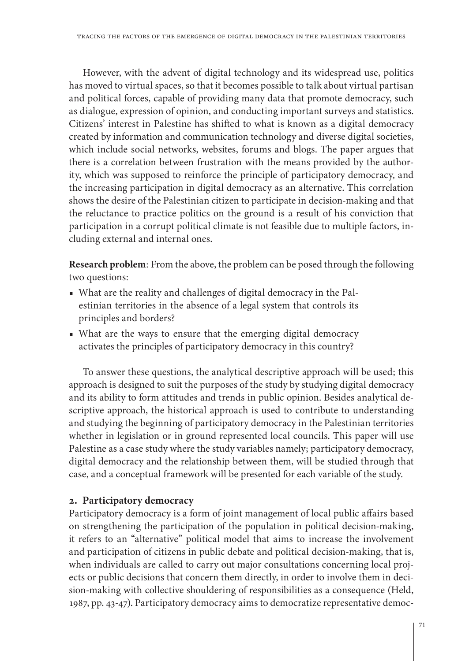However, with the advent of digital technology and its widespread use, politics has moved to virtual spaces, so that it becomes possible to talk about virtual partisan and political forces, capable of providing many data that promote democracy, such as dialogue, expression of opinion, and conducting important surveys and statistics. Citizens' interest in Palestine has shifted to what is known as a digital democracy created by information and communication technology and diverse digital societies, which include social networks, websites, forums and blogs. The paper argues that there is a correlation between frustration with the means provided by the authority, which was supposed to reinforce the principle of participatory democracy, and the increasing participation in digital democracy as an alternative. This correlation shows the desire of the Palestinian citizen to participate in decision-making and that the reluctance to practice politics on the ground is a result of his conviction that participation in a corrupt political climate is not feasible due to multiple factors, including external and internal ones.

**Research problem**: From the above, the problem can be posed through the following two questions:

- What are the reality and challenges of digital democracy in the Palestinian territories in the absence of a legal system that controls its principles and borders?
- What are the ways to ensure that the emerging digital democracy activates the principles of participatory democracy in this country?

To answer these questions, the analytical descriptive approach will be used; this approach is designed to suit the purposes of the study by studying digital democracy and its ability to form attitudes and trends in public opinion. Besides analytical descriptive approach, the historical approach is used to contribute to understanding and studying the beginning of participatory democracy in the Palestinian territories whether in legislation or in ground represented local councils. This paper will use Palestine as a case study where the study variables namely; participatory democracy, digital democracy and the relationship between them, will be studied through that case, and a conceptual framework will be presented for each variable of the study.

# **2. Participatory democracy**

Participatory democracy is a form of joint management of local public affairs based on strengthening the participation of the population in political decision-making, it refers to an "alternative" political model that aims to increase the involvement and participation of citizens in public debate and political decision-making, that is, when individuals are called to carry out major consultations concerning local projects or public decisions that concern them directly, in order to involve them in decision-making with collective shouldering of responsibilities as a consequence (Held, 1987, pp. 43-47). Participatory democracy aims to democratize representative democ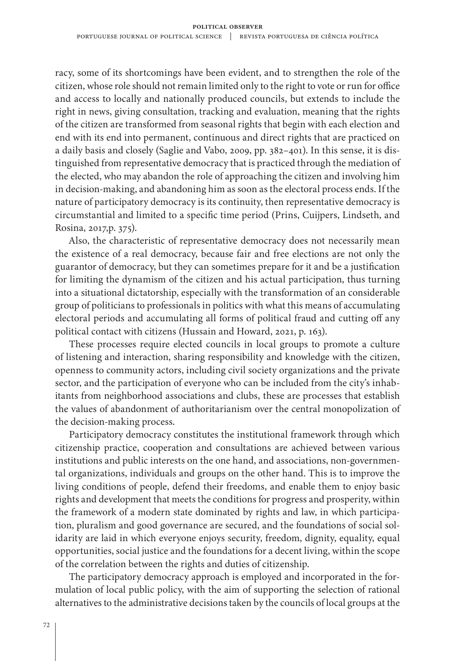racy, some of its shortcomings have been evident, and to strengthen the role of the citizen, whose role should not remain limited only to the right to vote or run for office and access to locally and nationally produced councils, but extends to include the right in news, giving consultation, tracking and evaluation, meaning that the rights of the citizen are transformed from seasonal rights that begin with each election and end with its end into permanent, continuous and direct rights that are practiced on a daily basis and closely (Saglie and Vabo, 2009, pp. 382–401). In this sense, it is distinguished from representative democracy that is practiced through the mediation of the elected, who may abandon the role of approaching the citizen and involving him in decision-making, and abandoning him as soon as the electoral process ends. If the nature of participatory democracy is its continuity, then representative democracy is circumstantial and limited to a specific time period (Prins, Cuijpers, Lindseth, and Rosina, 2017,p. 375).

Also, the characteristic of representative democracy does not necessarily mean the existence of a real democracy, because fair and free elections are not only the guarantor of democracy, but they can sometimes prepare for it and be a justification for limiting the dynamism of the citizen and his actual participation, thus turning into a situational dictatorship, especially with the transformation of an considerable group of politicians to professionals in politics with what this means of accumulating electoral periods and accumulating all forms of political fraud and cutting off any political contact with citizens (Hussain and Howard, 2021, p. 163).

These processes require elected councils in local groups to promote a culture of listening and interaction, sharing responsibility and knowledge with the citizen, openness to community actors, including civil society organizations and the private sector, and the participation of everyone who can be included from the city's inhabitants from neighborhood associations and clubs, these are processes that establish the values of abandonment of authoritarianism over the central monopolization of the decision-making process.

Participatory democracy constitutes the institutional framework through which citizenship practice, cooperation and consultations are achieved between various institutions and public interests on the one hand, and associations, non-governmental organizations, individuals and groups on the other hand. This is to improve the living conditions of people, defend their freedoms, and enable them to enjoy basic rights and development that meets the conditions for progress and prosperity, within the framework of a modern state dominated by rights and law, in which participation, pluralism and good governance are secured, and the foundations of social solidarity are laid in which everyone enjoys security, freedom, dignity, equality, equal opportunities, social justice and the foundations for a decent living, within the scope of the correlation between the rights and duties of citizenship.

The participatory democracy approach is employed and incorporated in the formulation of local public policy, with the aim of supporting the selection of rational alternatives to the administrative decisions taken by the councils of local groups at the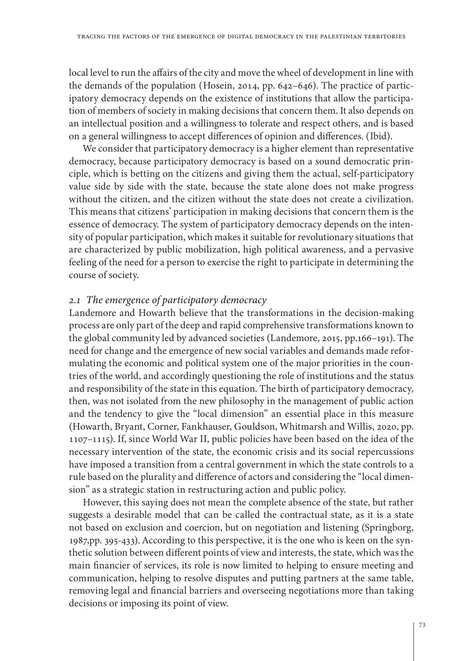local level to run the affairs of the city and move the wheel of development in line with the demands of the population (Hosein, 2014, pp. 642–646). The practice of participatory democracy depends on the existence of institutions that allow the participation of members of society in making decisions that concern them. It also depends on an intellectual position and a willingness to tolerate and respect others, and is based on a general willingness to accept differences of opinion and differences. (Ibid).

We consider that participatory democracy is a higher element than representative democracy, because participatory democracy is based on a sound democratic principle, which is betting on the citizens and giving them the actual, self-participatory value side by side with the state, because the state alone does not make progress without the citizen, and the citizen without the state does not create a civilization. This means that citizens' participation in making decisions that concern them is the essence of democracy. The system of participatory democracy depends on the intensity of popular participation, which makes it suitable for revolutionary situations that are characterized by public mobilization, high political awareness, and a pervasive feeling of the need for a person to exercise the right to participate in determining the course of society.

## *2.1 The emergence of participatory democracy*

Landemore and Howarth believe that the transformations in the decision-making process are only part of the deep and rapid comprehensive transformations known to the global community led by advanced societies (Landemore, 2015, pp.166–191). The need for change and the emergence of new social variables and demands made reformulating the economic and political system one of the major priorities in the countries of the world, and accordingly questioning the role of institutions and the status and responsibility of the state in this equation. The birth of participatory democracy, then, was not isolated from the new philosophy in the management of public action and the tendency to give the "local dimension" an essential place in this measure (Howarth, Bryant, Corner, Fankhauser, Gouldson, Whitmarsh and Willis, 2020, pp. 1107–1115). If, since World War II, public policies have been based on the idea of the necessary intervention of the state, the economic crisis and its social repercussions have imposed a transition from a central government in which the state controls to a rule based on the plurality and difference of actors and considering the "local dimension" as a strategic station in restructuring action and public policy.

However, this saying does not mean the complete absence of the state, but rather suggests a desirable model that can be called the contractual state, as it is a state not based on exclusion and coercion, but on negotiation and listening (Springborg, 1987,pp. 395-433). According to this perspective, it is the one who is keen on the synthetic solution between different points of view and interests, the state, which was the main financier of services, its role is now limited to helping to ensure meeting and communication, helping to resolve disputes and putting partners at the same table, removing legal and financial barriers and overseeing negotiations more than taking decisions or imposing its point of view.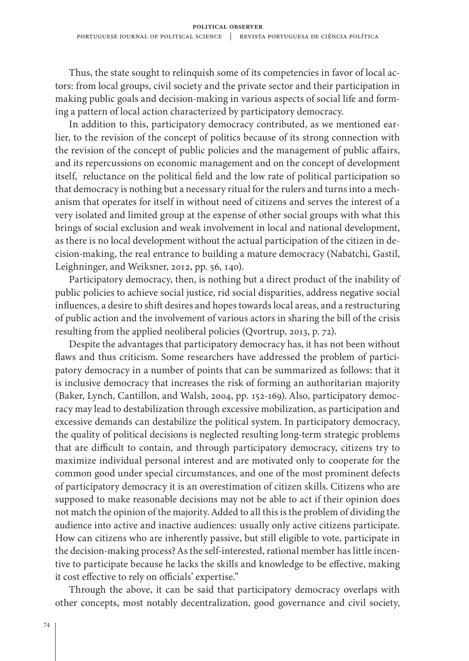Thus, the state sought to relinquish some of its competencies in favor of local actors: from local groups, civil society and the private sector and their participation in making public goals and decision-making in various aspects of social life and forming a pattern of local action characterized by participatory democracy.

In addition to this, participatory democracy contributed, as we mentioned earlier, to the revision of the concept of politics because of its strong connection with the revision of the concept of public policies and the management of public affairs, and its repercussions on economic management and on the concept of development itself, reluctance on the political field and the low rate of political participation so that democracy is nothing but a necessary ritual for the rulers and turns into a mechanism that operates for itself in without need of citizens and serves the interest of a very isolated and limited group at the expense of other social groups with what this brings of social exclusion and weak involvement in local and national development, as there is no local development without the actual participation of the citizen in decision-making, the real entrance to building a mature democracy (Nabatchi, Gastil, Leighninger, and Weiksner, 2012, pp. 56, 140).

Participatory democracy, then, is nothing but a direct product of the inability of public policies to achieve social justice, rid social disparities, address negative social influences, a desire to shift desires and hopes towards local areas, and a restructuring of public action and the involvement of various actors in sharing the bill of the crisis resulting from the applied neoliberal policies (Qvortrup, 2013, p. 72).

Despite the advantages that participatory democracy has, it has not been without flaws and thus criticism. Some researchers have addressed the problem of participatory democracy in a number of points that can be summarized as follows: that it is inclusive democracy that increases the risk of forming an authoritarian majority (Baker, Lynch, Cantillon, and Walsh, 2004, pp. 152-169). Also, participatory democracy may lead to destabilization through excessive mobilization, as participation and excessive demands can destabilize the political system. In participatory democracy, the quality of political decisions is neglected resulting long-term strategic problems that are difficult to contain, and through participatory democracy, citizens try to maximize individual personal interest and are motivated only to cooperate for the common good under special circumstances, and one of the most prominent defects of participatory democracy it is an overestimation of citizen skills. Citizens who are supposed to make reasonable decisions may not be able to act if their opinion does not match the opinion of the majority. Added to all this is the problem of dividing the audience into active and inactive audiences: usually only active citizens participate. How can citizens who are inherently passive, but still eligible to vote, participate in the decision-making process? As the self-interested, rational member has little incentive to participate because he lacks the skills and knowledge to be effective, making it cost effective to rely on officials' expertise."

Through the above, it can be said that participatory democracy overlaps with other concepts, most notably decentralization, good governance and civil society,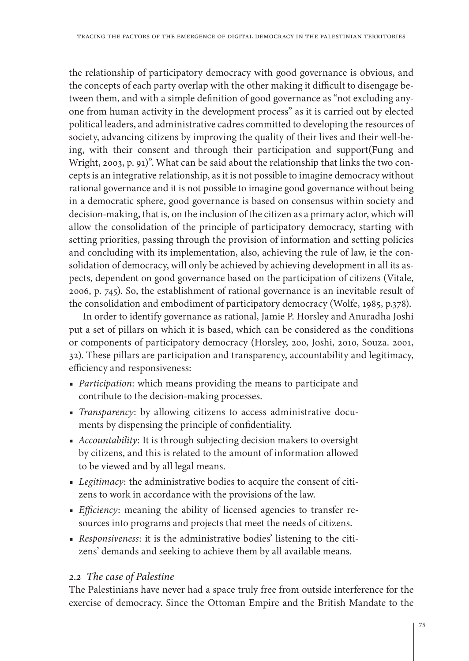the relationship of participatory democracy with good governance is obvious, and the concepts of each party overlap with the other making it difficult to disengage between them, and with a simple definition of good governance as "not excluding anyone from human activity in the development process" as it is carried out by elected political leaders, and administrative cadres committed to developing the resources of society, advancing citizens by improving the quality of their lives and their well-being, with their consent and through their participation and support(Fung and Wright, 2003, p. 91)". What can be said about the relationship that links the two concepts is an integrative relationship, as it is not possible to imagine democracy without rational governance and it is not possible to imagine good governance without being in a democratic sphere, good governance is based on consensus within society and decision-making, that is, on the inclusion of the citizen as a primary actor, which will allow the consolidation of the principle of participatory democracy, starting with setting priorities, passing through the provision of information and setting policies and concluding with its implementation, also, achieving the rule of law, ie the consolidation of democracy, will only be achieved by achieving development in all its aspects, dependent on good governance based on the participation of citizens (Vitale, 2006, p. 745). So, the establishment of rational governance is an inevitable result of the consolidation and embodiment of participatory democracy (Wolfe, 1985, p.378).

In order to identify governance as rational, Jamie P. Horsley and Anuradha Joshi put a set of pillars on which it is based, which can be considered as the conditions or components of participatory democracy (Horsley, 200, Joshi, 2010, Souza. 2001, 32). These pillars are participation and transparency, accountability and legitimacy, efficiency and responsiveness:

- ■ *Participation*: which means providing the means to participate and contribute to the decision-making processes.
- ■ *Transparency*: by allowing citizens to access administrative documents by dispensing the principle of confidentiality.
- ■ *Accountability*: It is through subjecting decision makers to oversight by citizens, and this is related to the amount of information allowed to be viewed and by all legal means.
- ■ *Legitimacy*: the administrative bodies to acquire the consent of citizens to work in accordance with the provisions of the law.
- ■ *Efficiency*: meaning the ability of licensed agencies to transfer resources into programs and projects that meet the needs of citizens.
- ■ *Responsiveness*: it is the administrative bodies' listening to the citizens' demands and seeking to achieve them by all available means.

# *2.2 The case of Palestine*

The Palestinians have never had a space truly free from outside interference for the exercise of democracy. Since the Ottoman Empire and the British Mandate to the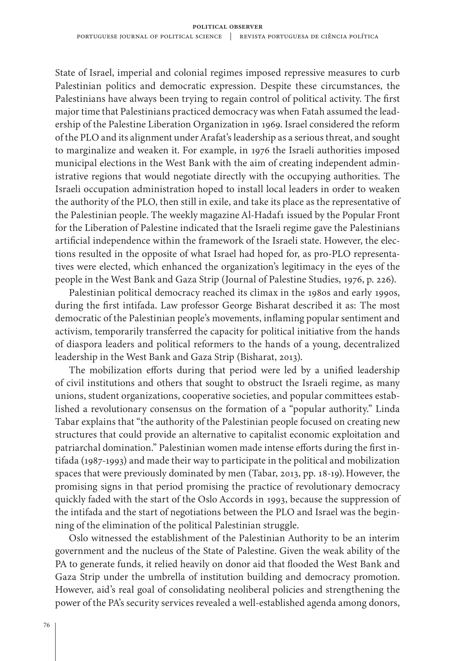State of Israel, imperial and colonial regimes imposed repressive measures to curb Palestinian politics and democratic expression. Despite these circumstances, the Palestinians have always been trying to regain control of political activity. The first major time that Palestinians practiced democracy was when Fatah assumed the leadership of the Palestine Liberation Organization in 1969. Israel considered the reform of the PLO and its alignment under Arafat's leadership as a serious threat, and sought to marginalize and weaken it. For example, in 1976 the Israeli authorities imposed municipal elections in the West Bank with the aim of creating independent administrative regions that would negotiate directly with the occupying authorities. The Israeli occupation administration hoped to install local leaders in order to weaken the authority of the PLO, then still in exile, and take its place as the representative of the Palestinian people. The weekly magazine Al-Hadaf1 issued by the Popular Front for the Liberation of Palestine indicated that the Israeli regime gave the Palestinians artificial independence within the framework of the Israeli state. However, the elections resulted in the opposite of what Israel had hoped for, as pro-PLO representatives were elected, which enhanced the organization's legitimacy in the eyes of the people in the West Bank and Gaza Strip (Journal of Palestine Studies, 1976, p. 226).

Palestinian political democracy reached its climax in the 1980s and early 1990s, during the first intifada. Law professor George Bisharat described it as: The most democratic of the Palestinian people's movements, inflaming popular sentiment and activism, temporarily transferred the capacity for political initiative from the hands of diaspora leaders and political reformers to the hands of a young, decentralized leadership in the West Bank and Gaza Strip (Bisharat, 2013).

The mobilization efforts during that period were led by a unified leadership of civil institutions and others that sought to obstruct the Israeli regime, as many unions, student organizations, cooperative societies, and popular committees established a revolutionary consensus on the formation of a "popular authority." Linda Tabar explains that "the authority of the Palestinian people focused on creating new structures that could provide an alternative to capitalist economic exploitation and patriarchal domination." Palestinian women made intense efforts during the first intifada (1987-1993) and made their way to participate in the political and mobilization spaces that were previously dominated by men (Tabar, 2013, pp. 18-19).However, the promising signs in that period promising the practice of revolutionary democracy quickly faded with the start of the Oslo Accords in 1993, because the suppression of the intifada and the start of negotiations between the PLO and Israel was the beginning of the elimination of the political Palestinian struggle.

Oslo witnessed the establishment of the Palestinian Authority to be an interim government and the nucleus of the State of Palestine. Given the weak ability of the PA to generate funds, it relied heavily on donor aid that flooded the West Bank and Gaza Strip under the umbrella of institution building and democracy promotion. However, aid's real goal of consolidating neoliberal policies and strengthening the power of the PA's security services revealed a well-established agenda among donors,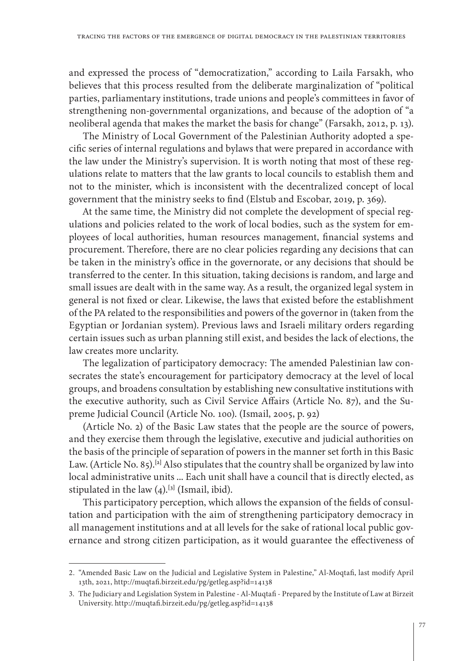and expressed the process of "democratization," according to Laila Farsakh, who believes that this process resulted from the deliberate marginalization of "political parties, parliamentary institutions, trade unions and people's committees in favor of strengthening non-governmental organizations, and because of the adoption of "a neoliberal agenda that makes the market the basis for change" (Farsakh, 2012, p. 13).

The Ministry of Local Government of the Palestinian Authority adopted a specific series of internal regulations and bylaws that were prepared in accordance with the law under the Ministry's supervision. It is worth noting that most of these regulations relate to matters that the law grants to local councils to establish them and not to the minister, which is inconsistent with the decentralized concept of local government that the ministry seeks to find (Elstub and Escobar, 2019, p. 369).

At the same time, the Ministry did not complete the development of special regulations and policies related to the work of local bodies, such as the system for employees of local authorities, human resources management, financial systems and procurement. Therefore, there are no clear policies regarding any decisions that can be taken in the ministry's office in the governorate, or any decisions that should be transferred to the center. In this situation, taking decisions is random, and large and small issues are dealt with in the same way. As a result, the organized legal system in general is not fixed or clear. Likewise, the laws that existed before the establishment of the PA related to the responsibilities and powers of the governor in (taken from the Egyptian or Jordanian system). Previous laws and Israeli military orders regarding certain issues such as urban planning still exist, and besides the lack of elections, the law creates more unclarity.

The legalization of participatory democracy: The amended Palestinian law consecrates the state's encouragement for participatory democracy at the level of local groups, and broadens consultation by establishing new consultative institutions with the executive authority, such as Civil Service Affairs (Article No. 87), and the Supreme Judicial Council (Article No. 100). (Ismail, 2005, p. 92)

(Article No. 2) of the Basic Law states that the people are the source of powers, and they exercise them through the legislative, executive and judicial authorities on the basis of the principle of separation of powers in the manner set forth in this Basic Law. (Article No. 85).**[2]** Also stipulates that the country shall be organized by law into local administrative units ... Each unit shall have a council that is directly elected, as stipulated in the law (4).**[3]** (Ismail, ibid).

This participatory perception, which allows the expansion of the fields of consultation and participation with the aim of strengthening participatory democracy in all management institutions and at all levels for the sake of rational local public governance and strong citizen participation, as it would guarantee the effectiveness of

<sup>2.</sup> "Amended Basic Law on the Judicial and Legislative System in Palestine," Al-Moqtafi, last modify April 13th, 2021,<http://muqtafi.birzeit.edu/pg/getleg.asp?id=14138>

<sup>3.</sup> The Judiciary and Legislation System in Palestine - Al-Muqtafi - Prepared by the Institute of Law at Birzeit University. <http://muqtafi.birzeit.edu/pg/getleg.asp?id=14138>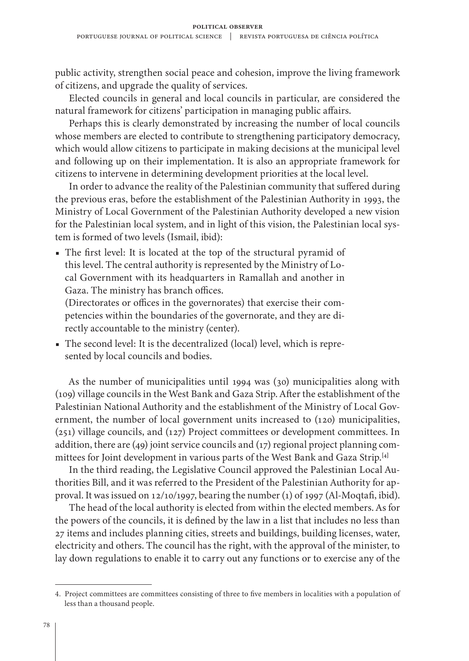public activity, strengthen social peace and cohesion, improve the living framework of citizens, and upgrade the quality of services.

Elected councils in general and local councils in particular, are considered the natural framework for citizens' participation in managing public affairs.

Perhaps this is clearly demonstrated by increasing the number of local councils whose members are elected to contribute to strengthening participatory democracy, which would allow citizens to participate in making decisions at the municipal level and following up on their implementation. It is also an appropriate framework for citizens to intervene in determining development priorities at the local level.

In order to advance the reality of the Palestinian community that suffered during the previous eras, before the establishment of the Palestinian Authority in 1993, the Ministry of Local Government of the Palestinian Authority developed a new vision for the Palestinian local system, and in light of this vision, the Palestinian local system is formed of two levels (Ismail, ibid):

■ The first level: It is located at the top of the structural pyramid of this level. The central authority is represented by the Ministry of Local Government with its headquarters in Ramallah and another in Gaza. The ministry has branch offices.

(Directorates or offices in the governorates) that exercise their competencies within the boundaries of the governorate, and they are directly accountable to the ministry (center).

■ The second level: It is the decentralized (local) level, which is represented by local councils and bodies.

As the number of municipalities until 1994 was (30) municipalities along with (109) village councils in the West Bank and Gaza Strip. After the establishment of the Palestinian National Authority and the establishment of the Ministry of Local Government, the number of local government units increased to (120) municipalities, (251) village councils, and (127) Project committees or development committees. In addition, there are (49) joint service councils and (17) regional project planning committees for Joint development in various parts of the West Bank and Gaza Strip.**[4]**

In the third reading, the Legislative Council approved the Palestinian Local Authorities Bill, and it was referred to the President of the Palestinian Authority for approval. It was issued on 12/10/1997, bearing the number (1) of 1997 (Al-Moqtafi, ibid).

The head of the local authority is elected from within the elected members. As for the powers of the councils, it is defined by the law in a list that includes no less than 27 items and includes planning cities, streets and buildings, building licenses, water, electricity and others. The council has the right, with the approval of the minister, to lay down regulations to enable it to carry out any functions or to exercise any of the

<sup>4.</sup> Project committees are committees consisting of three to five members in localities with a population of less than a thousand people.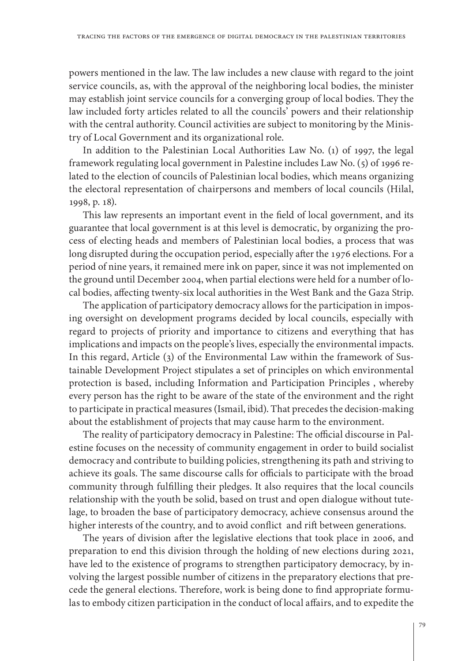powers mentioned in the law. The law includes a new clause with regard to the joint service councils, as, with the approval of the neighboring local bodies, the minister may establish joint service councils for a converging group of local bodies. They the law included forty articles related to all the councils' powers and their relationship with the central authority. Council activities are subject to monitoring by the Ministry of Local Government and its organizational role.

In addition to the Palestinian Local Authorities Law No. (1) of 1997, the legal framework regulating local government in Palestine includes Law No. (5) of 1996 related to the election of councils of Palestinian local bodies, which means organizing the electoral representation of chairpersons and members of local councils (Hilal, 1998, p. 18).

This law represents an important event in the field of local government, and its guarantee that local government is at this level is democratic, by organizing the process of electing heads and members of Palestinian local bodies, a process that was long disrupted during the occupation period, especially after the 1976 elections. For a period of nine years, it remained mere ink on paper, since it was not implemented on the ground until December 2004, when partial elections were held for a number of local bodies, affecting twenty-six local authorities in the West Bank and the Gaza Strip.

The application of participatory democracy allows for the participation in imposing oversight on development programs decided by local councils, especially with regard to projects of priority and importance to citizens and everything that has implications and impacts on the people's lives, especially the environmental impacts. In this regard, Article (3) of the Environmental Law within the framework of Sustainable Development Project stipulates a set of principles on which environmental protection is based, including Information and Participation Principles , whereby every person has the right to be aware of the state of the environment and the right to participate in practical measures (Ismail, ibid). That precedes the decision-making about the establishment of projects that may cause harm to the environment.

The reality of participatory democracy in Palestine: The official discourse in Palestine focuses on the necessity of community engagement in order to build socialist democracy and contribute to building policies, strengthening its path and striving to achieve its goals. The same discourse calls for officials to participate with the broad community through fulfilling their pledges. It also requires that the local councils relationship with the youth be solid, based on trust and open dialogue without tutelage, to broaden the base of participatory democracy, achieve consensus around the higher interests of the country, and to avoid conflict and rift between generations.

The years of division after the legislative elections that took place in 2006, and preparation to end this division through the holding of new elections during 2021, have led to the existence of programs to strengthen participatory democracy, by involving the largest possible number of citizens in the preparatory elections that precede the general elections. Therefore, work is being done to find appropriate formulas to embody citizen participation in the conduct of local affairs, and to expedite the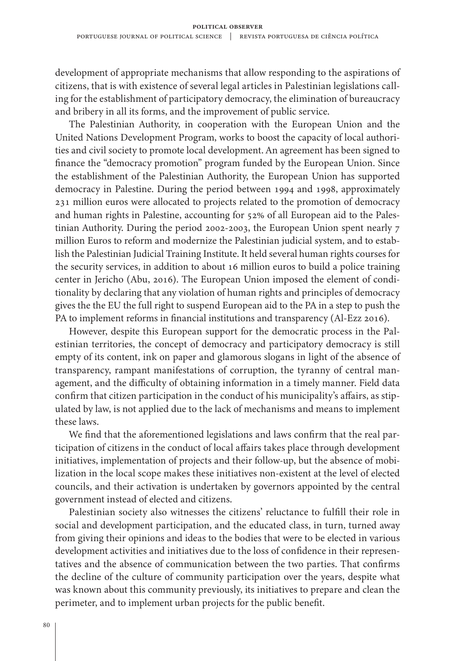development of appropriate mechanisms that allow responding to the aspirations of citizens, that is with existence of several legal articles in Palestinian legislations calling for the establishment of participatory democracy, the elimination of bureaucracy and bribery in all its forms, and the improvement of public service.

The Palestinian Authority, in cooperation with the European Union and the United Nations Development Program, works to boost the capacity of local authorities and civil society to promote local development. An agreement has been signed to finance the "democracy promotion" program funded by the European Union. Since the establishment of the Palestinian Authority, the European Union has supported democracy in Palestine. During the period between 1994 and 1998, approximately 231 million euros were allocated to projects related to the promotion of democracy and human rights in Palestine, accounting for 52% of all European aid to the Palestinian Authority. During the period 2002-2003, the European Union spent nearly 7 million Euros to reform and modernize the Palestinian judicial system, and to establish the Palestinian Judicial Training Institute. It held several human rights courses for the security services, in addition to about 16 million euros to build a police training center in Jericho (Abu, 2016). The European Union imposed the element of conditionality by declaring that any violation of human rights and principles of democracy gives the the EU the full right to suspend European aid to the PA in a step to push the PA to implement reforms in financial institutions and transparency (Al-Ezz 2016).

However, despite this European support for the democratic process in the Palestinian territories, the concept of democracy and participatory democracy is still empty of its content, ink on paper and glamorous slogans in light of the absence of transparency, rampant manifestations of corruption, the tyranny of central management, and the difficulty of obtaining information in a timely manner. Field data confirm that citizen participation in the conduct of his municipality's affairs, as stipulated by law, is not applied due to the lack of mechanisms and means to implement these laws.

We find that the aforementioned legislations and laws confirm that the real participation of citizens in the conduct of local affairs takes place through development initiatives, implementation of projects and their follow-up, but the absence of mobilization in the local scope makes these initiatives non-existent at the level of elected councils, and their activation is undertaken by governors appointed by the central government instead of elected and citizens.

Palestinian society also witnesses the citizens' reluctance to fulfill their role in social and development participation, and the educated class, in turn, turned away from giving their opinions and ideas to the bodies that were to be elected in various development activities and initiatives due to the loss of confidence in their representatives and the absence of communication between the two parties. That confirms the decline of the culture of community participation over the years, despite what was known about this community previously, its initiatives to prepare and clean the perimeter, and to implement urban projects for the public benefit.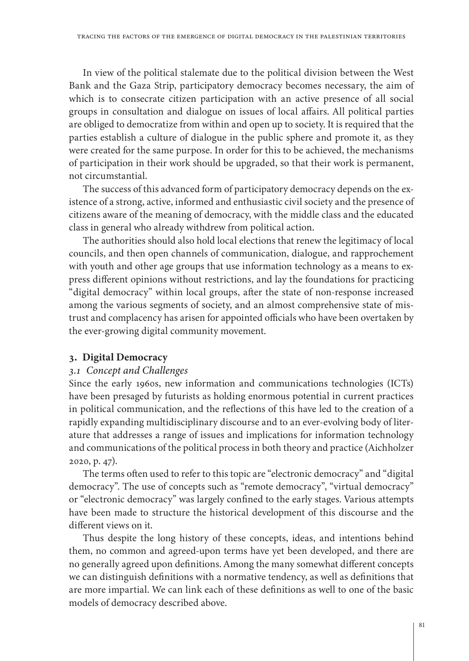In view of the political stalemate due to the political division between the West Bank and the Gaza Strip, participatory democracy becomes necessary, the aim of which is to consecrate citizen participation with an active presence of all social groups in consultation and dialogue on issues of local affairs. All political parties are obliged to democratize from within and open up to society. It is required that the parties establish a culture of dialogue in the public sphere and promote it, as they were created for the same purpose. In order for this to be achieved, the mechanisms of participation in their work should be upgraded, so that their work is permanent, not circumstantial.

The success of this advanced form of participatory democracy depends on the existence of a strong, active, informed and enthusiastic civil society and the presence of citizens aware of the meaning of democracy, with the middle class and the educated class in general who already withdrew from political action.

The authorities should also hold local elections that renew the legitimacy of local councils, and then open channels of communication, dialogue, and rapprochement with youth and other age groups that use information technology as a means to express different opinions without restrictions, and lay the foundations for practicing "digital democracy" within local groups, after the state of non-response increased among the various segments of society, and an almost comprehensive state of mistrust and complacency has arisen for appointed officials who have been overtaken by the ever-growing digital community movement.

# **3. Digital Democracy**

# *3.1 Concept and Challenges*

Since the early 1960s, new information and communications technologies (ICTs) have been presaged by futurists as holding enormous potential in current practices in political communication, and the reflections of this have led to the creation of a rapidly expanding multidisciplinary discourse and to an ever-evolving body of literature that addresses a range of issues and implications for information technology and communications of the political process in both theory and practice (Aichholzer 2020, p. 47).

The terms often used to refer to this topic are "electronic democracy" and "digital democracy". The use of concepts such as "remote democracy", "virtual democracy" or "electronic democracy" was largely confined to the early stages. Various attempts have been made to structure the historical development of this discourse and the different views on it.

Thus despite the long history of these concepts, ideas, and intentions behind them, no common and agreed-upon terms have yet been developed, and there are no generally agreed upon definitions. Among the many somewhat different concepts we can distinguish definitions with a normative tendency, as well as definitions that are more impartial. We can link each of these definitions as well to one of the basic models of democracy described above.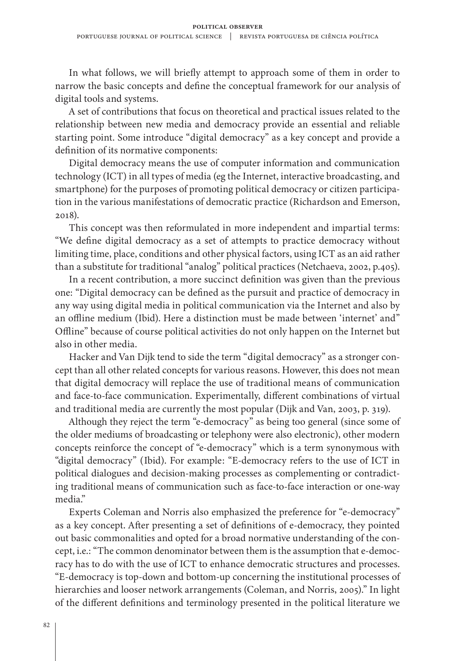In what follows, we will briefly attempt to approach some of them in order to narrow the basic concepts and define the conceptual framework for our analysis of digital tools and systems.

A set of contributions that focus on theoretical and practical issues related to the relationship between new media and democracy provide an essential and reliable starting point. Some introduce "digital democracy" as a key concept and provide a definition of its normative components:

Digital democracy means the use of computer information and communication technology (ICT) in all types of media (eg the Internet, interactive broadcasting, and smartphone) for the purposes of promoting political democracy or citizen participation in the various manifestations of democratic practice (Richardson and Emerson, 2018).

This concept was then reformulated in more independent and impartial terms: "We define digital democracy as a set of attempts to practice democracy without limiting time, place, conditions and other physical factors, using ICT as an aid rather than a substitute for traditional "analog" political practices (Netchaeva, 2002, p.405).

In a recent contribution, a more succinct definition was given than the previous one: "Digital democracy can be defined as the pursuit and practice of democracy in any way using digital media in political communication via the Internet and also by an offline medium (Ibid). Here a distinction must be made between 'internet' and" Offline" because of course political activities do not only happen on the Internet but also in other media.

Hacker and Van Dijk tend to side the term "digital democracy" as a stronger concept than all other related concepts for various reasons. However, this does not mean that digital democracy will replace the use of traditional means of communication and face-to-face communication. Experimentally, different combinations of virtual and traditional media are currently the most popular (Dijk and Van, 2003, p. 319).

Although they reject the term "e-democracy" as being too general (since some of the older mediums of broadcasting or telephony were also electronic), other modern concepts reinforce the concept of "e-democracy" which is a term synonymous with "digital democracy" (Ibid). For example: "E-democracy refers to the use of ICT in political dialogues and decision-making processes as complementing or contradicting traditional means of communication such as face-to-face interaction or one-way media."

Experts Coleman and Norris also emphasized the preference for "e-democracy" as a key concept. After presenting a set of definitions of e-democracy, they pointed out basic commonalities and opted for a broad normative understanding of the concept, i.e.: "The common denominator between them is the assumption that e-democracy has to do with the use of ICT to enhance democratic structures and processes. "E-democracy is top-down and bottom-up concerning the institutional processes of hierarchies and looser network arrangements (Coleman, and Norris, 2005)." In light of the different definitions and terminology presented in the political literature we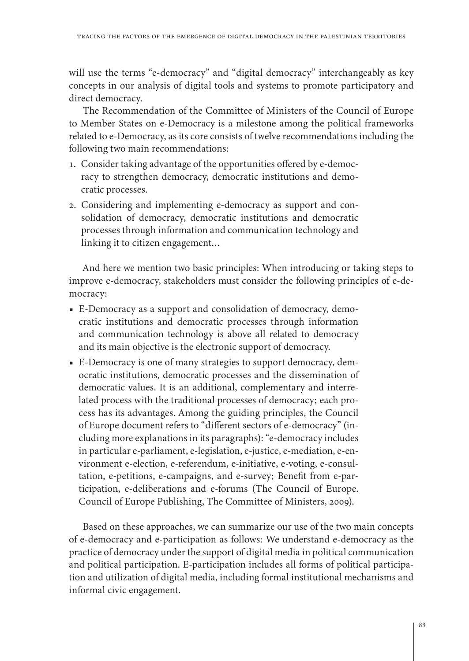will use the terms "e-democracy" and "digital democracy" interchangeably as key concepts in our analysis of digital tools and systems to promote participatory and direct democracy.

The Recommendation of the Committee of Ministers of the Council of Europe to Member States on e-Democracy is a milestone among the political frameworks related to e-Democracy, as its core consists of twelve recommendations including the following two main recommendations:

- 1. Consider taking advantage of the opportunities offered by e-democracy to strengthen democracy, democratic institutions and democratic processes.
- 2. Considering and implementing e-democracy as support and consolidation of democracy, democratic institutions and democratic processes through information and communication technology and linking it to citizen engagement…

And here we mention two basic principles: When introducing or taking steps to improve e-democracy, stakeholders must consider the following principles of e-democracy:

- E-Democracy as a support and consolidation of democracy, democratic institutions and democratic processes through information and communication technology is above all related to democracy and its main objective is the electronic support of democracy.
- E-Democracy is one of many strategies to support democracy, democratic institutions, democratic processes and the dissemination of democratic values. It is an additional, complementary and interrelated process with the traditional processes of democracy; each process has its advantages. Among the guiding principles, the Council of Europe document refers to "different sectors of e-democracy" (including more explanations in its paragraphs): "e-democracy includes in particular e-parliament, e-legislation, e-justice, e-mediation, e-environment e-election, e-referendum, e-initiative, e-voting, e-consultation, e-petitions, e-campaigns, and e-survey; Benefit from e-participation, e-deliberations and e-forums (The Council of Europe. Council of Europe Publishing, The Committee of Ministers, 2009).

Based on these approaches, we can summarize our use of the two main concepts of e-democracy and e-participation as follows: We understand e-democracy as the practice of democracy under the support of digital media in political communication and political participation. E-participation includes all forms of political participation and utilization of digital media, including formal institutional mechanisms and informal civic engagement.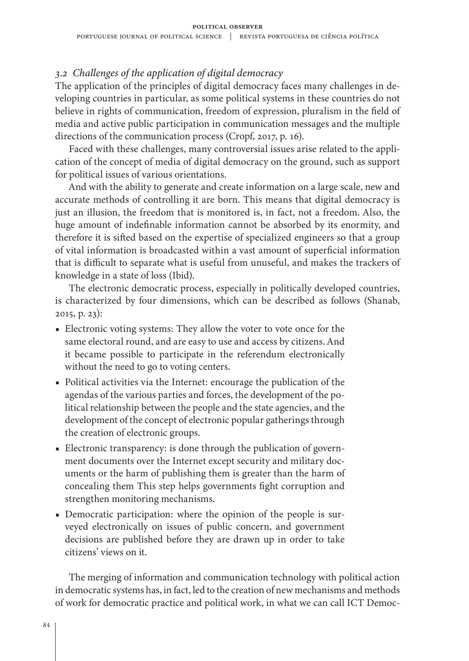# *3.2 Challenges of the application of digital democracy*

The application of the principles of digital democracy faces many challenges in developing countries in particular, as some political systems in these countries do not believe in rights of communication, freedom of expression, pluralism in the field of media and active public participation in communication messages and the multiple directions of the communication process (Cropf, 2017, p. 16).

Faced with these challenges, many controversial issues arise related to the application of the concept of media of digital democracy on the ground, such as support for political issues of various orientations.

And with the ability to generate and create information on a large scale, new and accurate methods of controlling it are born. This means that digital democracy is just an illusion, the freedom that is monitored is, in fact, not a freedom. Also, the huge amount of indefinable information cannot be absorbed by its enormity, and therefore it is sifted based on the expertise of specialized engineers so that a group of vital information is broadcasted within a vast amount of superficial information that is difficult to separate what is useful from unuseful, and makes the trackers of knowledge in a state of loss (Ibid).

The electronic democratic process, especially in politically developed countries, is characterized by four dimensions, which can be described as follows (Shanab, 2015, p. 23):

- Electronic voting systems: They allow the voter to vote once for the same electoral round, and are easy to use and access by citizens. And it became possible to participate in the referendum electronically without the need to go to voting centers.
- Political activities via the Internet: encourage the publication of the agendas of the various parties and forces, the development of the political relationship between the people and the state agencies, and the development of the concept of electronic popular gatherings through the creation of electronic groups.
- Electronic transparency: is done through the publication of government documents over the Internet except security and military documents or the harm of publishing them is greater than the harm of concealing them This step helps governments fight corruption and strengthen monitoring mechanisms.
- Democratic participation: where the opinion of the people is surveyed electronically on issues of public concern, and government decisions are published before they are drawn up in order to take citizens' views on it.

The merging of information and communication technology with political action in democratic systems has, in fact, led to the creation of new mechanisms and methods of work for democratic practice and political work, in what we can call ICT Democ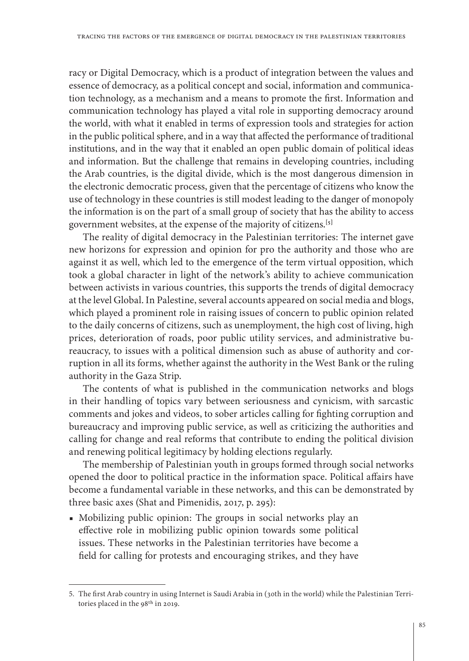racy or Digital Democracy, which is a product of integration between the values and essence of democracy, as a political concept and social, information and communication technology, as a mechanism and a means to promote the first. Information and communication technology has played a vital role in supporting democracy around the world, with what it enabled in terms of expression tools and strategies for action in the public political sphere, and in a way that affected the performance of traditional institutions, and in the way that it enabled an open public domain of political ideas and information. But the challenge that remains in developing countries, including the Arab countries, is the digital divide, which is the most dangerous dimension in the electronic democratic process, given that the percentage of citizens who know the use of technology in these countries is still modest leading to the danger of monopoly the information is on the part of a small group of society that has the ability to access government websites, at the expense of the majority of citizens.**[5]**

The reality of digital democracy in the Palestinian territories: The internet gave new horizons for expression and opinion for pro the authority and those who are against it as well, which led to the emergence of the term virtual opposition, which took a global character in light of the network's ability to achieve communication between activists in various countries, this supports the trends of digital democracy at the level Global. In Palestine, several accounts appeared on social media and blogs, which played a prominent role in raising issues of concern to public opinion related to the daily concerns of citizens, such as unemployment, the high cost of living, high prices, deterioration of roads, poor public utility services, and administrative bureaucracy, to issues with a political dimension such as abuse of authority and corruption in all its forms, whether against the authority in the West Bank or the ruling authority in the Gaza Strip.

The contents of what is published in the communication networks and blogs in their handling of topics vary between seriousness and cynicism, with sarcastic comments and jokes and videos, to sober articles calling for fighting corruption and bureaucracy and improving public service, as well as criticizing the authorities and calling for change and real reforms that contribute to ending the political division and renewing political legitimacy by holding elections regularly.

The membership of Palestinian youth in groups formed through social networks opened the door to political practice in the information space. Political affairs have become a fundamental variable in these networks, and this can be demonstrated by three basic axes (Shat and Pimenidis, 2017, p. 295):

■ Mobilizing public opinion: The groups in social networks play an effective role in mobilizing public opinion towards some political issues. These networks in the Palestinian territories have become a field for calling for protests and encouraging strikes, and they have

<sup>5.</sup> The first Arab country in using Internet is Saudi Arabia in (30th in the world) while the Palestinian Territories placed in the 98th in 2019.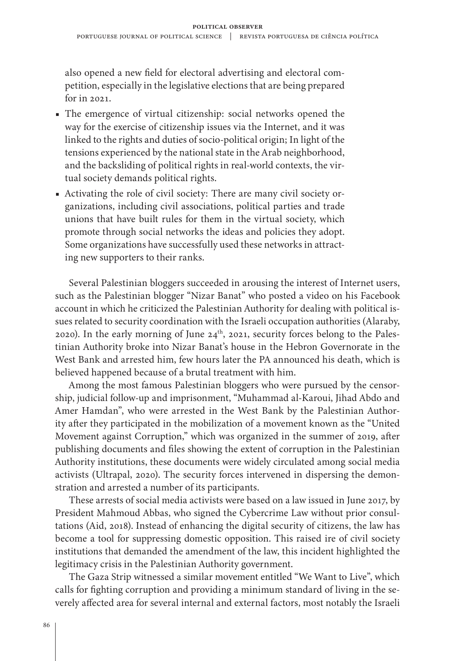also opened a new field for electoral advertising and electoral competition, especially in the legislative elections that are being prepared for in 2021.

- The emergence of virtual citizenship: social networks opened the way for the exercise of citizenship issues via the Internet, and it was linked to the rights and duties of socio-political origin; In light of the tensions experienced by the national state in the Arab neighborhood, and the backsliding of political rights in real-world contexts, the virtual society demands political rights.
- Activating the role of civil society: There are many civil society organizations, including civil associations, political parties and trade unions that have built rules for them in the virtual society, which promote through social networks the ideas and policies they adopt. Some organizations have successfully used these networks in attracting new supporters to their ranks.

Several Palestinian bloggers succeeded in arousing the interest of Internet users, such as the Palestinian blogger "Nizar Banat" who posted a video on his Facebook account in which he criticized the Palestinian Authority for dealing with political issues related to security coordination with the Israeli occupation authorities (Alaraby, 2020). In the early morning of June  $24<sup>th</sup>$ , 2021, security forces belong to the Palestinian Authority broke into Nizar Banat's house in the Hebron Governorate in the West Bank and arrested him, few hours later the PA announced his death, which is believed happened because of a brutal treatment with him.

Among the most famous Palestinian bloggers who were pursued by the censorship, judicial follow-up and imprisonment, "Muhammad al-Karoui, Jihad Abdo and Amer Hamdan", who were arrested in the West Bank by the Palestinian Authority after they participated in the mobilization of a movement known as the "United Movement against Corruption," which was organized in the summer of 2019, after publishing documents and files showing the extent of corruption in the Palestinian Authority institutions, these documents were widely circulated among social media activists (Ultrapal, 2020). The security forces intervened in dispersing the demonstration and arrested a number of its participants.

These arrests of social media activists were based on a law issued in June 2017, by President Mahmoud Abbas, who signed the Cybercrime Law without prior consultations (Aid, 2018). Instead of enhancing the digital security of citizens, the law has become a tool for suppressing domestic opposition. This raised ire of civil society institutions that demanded the amendment of the law, this incident highlighted the legitimacy crisis in the Palestinian Authority government.

The Gaza Strip witnessed a similar movement entitled "We Want to Live", which calls for fighting corruption and providing a minimum standard of living in the severely affected area for several internal and external factors, most notably the Israeli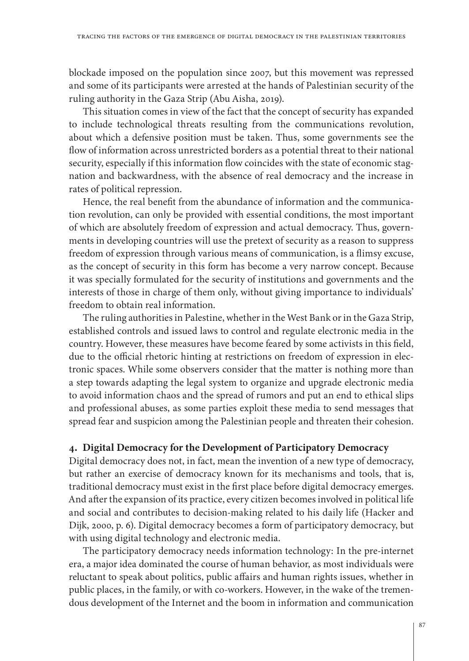blockade imposed on the population since 2007, but this movement was repressed and some of its participants were arrested at the hands of Palestinian security of the ruling authority in the Gaza Strip (Abu Aisha, 2019).

This situation comes in view of the fact that the concept of security has expanded to include technological threats resulting from the communications revolution, about which a defensive position must be taken. Thus, some governments see the flow of information across unrestricted borders as a potential threat to their national security, especially if this information flow coincides with the state of economic stagnation and backwardness, with the absence of real democracy and the increase in rates of political repression.

Hence, the real benefit from the abundance of information and the communication revolution, can only be provided with essential conditions, the most important of which are absolutely freedom of expression and actual democracy. Thus, governments in developing countries will use the pretext of security as a reason to suppress freedom of expression through various means of communication, is a flimsy excuse, as the concept of security in this form has become a very narrow concept. Because it was specially formulated for the security of institutions and governments and the interests of those in charge of them only, without giving importance to individuals' freedom to obtain real information.

The ruling authorities in Palestine, whether in the West Bank or in the Gaza Strip, established controls and issued laws to control and regulate electronic media in the country. However, these measures have become feared by some activists in this field, due to the official rhetoric hinting at restrictions on freedom of expression in electronic spaces. While some observers consider that the matter is nothing more than a step towards adapting the legal system to organize and upgrade electronic media to avoid information chaos and the spread of rumors and put an end to ethical slips and professional abuses, as some parties exploit these media to send messages that spread fear and suspicion among the Palestinian people and threaten their cohesion.

#### **4. Digital Democracy for the Development of Participatory Democracy**

Digital democracy does not, in fact, mean the invention of a new type of democracy, but rather an exercise of democracy known for its mechanisms and tools, that is, traditional democracy must exist in the first place before digital democracy emerges. And after the expansion of its practice, every citizen becomes involved in political life and social and contributes to decision-making related to his daily life (Hacker and Dijk, 2000, p. 6). Digital democracy becomes a form of participatory democracy, but with using digital technology and electronic media.

The participatory democracy needs information technology: In the pre-internet era, a major idea dominated the course of human behavior, as most individuals were reluctant to speak about politics, public affairs and human rights issues, whether in public places, in the family, or with co-workers. However, in the wake of the tremendous development of the Internet and the boom in information and communication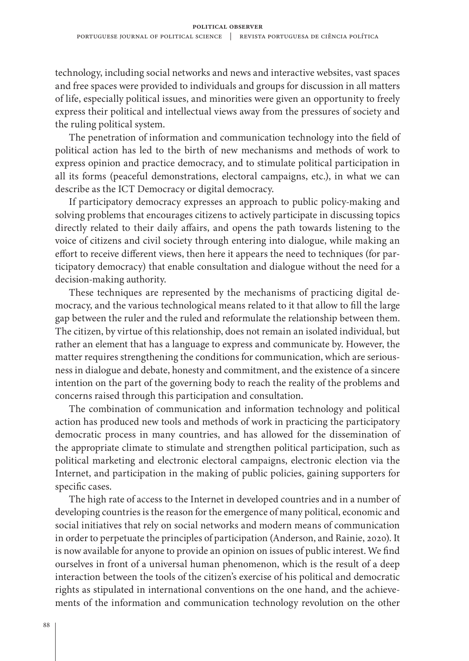technology, including social networks and news and interactive websites, vast spaces and free spaces were provided to individuals and groups for discussion in all matters of life, especially political issues, and minorities were given an opportunity to freely express their political and intellectual views away from the pressures of society and the ruling political system.

The penetration of information and communication technology into the field of political action has led to the birth of new mechanisms and methods of work to express opinion and practice democracy, and to stimulate political participation in all its forms (peaceful demonstrations, electoral campaigns, etc.), in what we can describe as the ICT Democracy or digital democracy.

If participatory democracy expresses an approach to public policy-making and solving problems that encourages citizens to actively participate in discussing topics directly related to their daily affairs, and opens the path towards listening to the voice of citizens and civil society through entering into dialogue, while making an effort to receive different views, then here it appears the need to techniques (for participatory democracy) that enable consultation and dialogue without the need for a decision-making authority.

These techniques are represented by the mechanisms of practicing digital democracy, and the various technological means related to it that allow to fill the large gap between the ruler and the ruled and reformulate the relationship between them. The citizen, by virtue of this relationship, does not remain an isolated individual, but rather an element that has a language to express and communicate by. However, the matter requires strengthening the conditions for communication, which are seriousness in dialogue and debate, honesty and commitment, and the existence of a sincere intention on the part of the governing body to reach the reality of the problems and concerns raised through this participation and consultation.

The combination of communication and information technology and political action has produced new tools and methods of work in practicing the participatory democratic process in many countries, and has allowed for the dissemination of the appropriate climate to stimulate and strengthen political participation, such as political marketing and electronic electoral campaigns, electronic election via the Internet, and participation in the making of public policies, gaining supporters for specific cases.

The high rate of access to the Internet in developed countries and in a number of developing countries is the reason for the emergence of many political, economic and social initiatives that rely on social networks and modern means of communication in order to perpetuate the principles of participation (Anderson, and Rainie, 2020). It is now available for anyone to provide an opinion on issues of public interest. We find ourselves in front of a universal human phenomenon, which is the result of a deep interaction between the tools of the citizen's exercise of his political and democratic rights as stipulated in international conventions on the one hand, and the achievements of the information and communication technology revolution on the other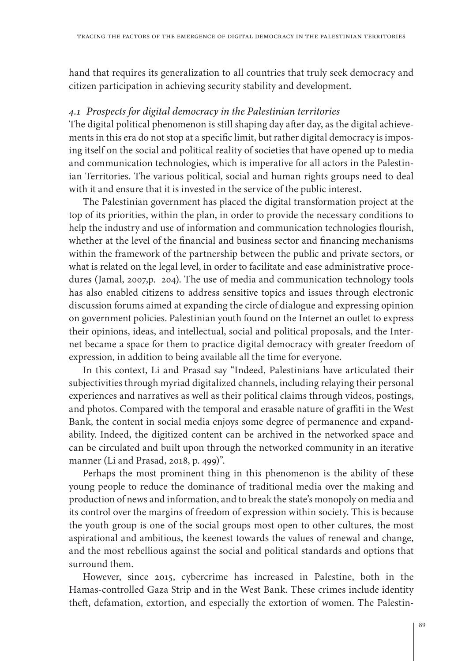hand that requires its generalization to all countries that truly seek democracy and citizen participation in achieving security stability and development.

## *4.1 Prospects for digital democracy in the Palestinian territories*

The digital political phenomenon is still shaping day after day, as the digital achievements in this era do not stop at a specific limit, but rather digital democracy is imposing itself on the social and political reality of societies that have opened up to media and communication technologies, which is imperative for all actors in the Palestinian Territories. The various political, social and human rights groups need to deal with it and ensure that it is invested in the service of the public interest.

The Palestinian government has placed the digital transformation project at the top of its priorities, within the plan, in order to provide the necessary conditions to help the industry and use of information and communication technologies flourish, whether at the level of the financial and business sector and financing mechanisms within the framework of the partnership between the public and private sectors, or what is related on the legal level, in order to facilitate and ease administrative procedures (Jamal, 2007,p. 204). The use of media and communication technology tools has also enabled citizens to address sensitive topics and issues through electronic discussion forums aimed at expanding the circle of dialogue and expressing opinion on government policies. Palestinian youth found on the Internet an outlet to express their opinions, ideas, and intellectual, social and political proposals, and the Internet became a space for them to practice digital democracy with greater freedom of expression, in addition to being available all the time for everyone.

In this context, Li and Prasad say "Indeed, Palestinians have articulated their subjectivities through myriad digitalized channels, including relaying their personal experiences and narratives as well as their political claims through videos, postings, and photos. Compared with the temporal and erasable nature of graffiti in the West Bank, the content in social media enjoys some degree of permanence and expandability. Indeed, the digitized content can be archived in the networked space and can be circulated and built upon through the networked community in an iterative manner (Li and Prasad, 2018, p. 499)".

Perhaps the most prominent thing in this phenomenon is the ability of these young people to reduce the dominance of traditional media over the making and production of news and information, and to break the state's monopoly on media and its control over the margins of freedom of expression within society. This is because the youth group is one of the social groups most open to other cultures, the most aspirational and ambitious, the keenest towards the values of renewal and change, and the most rebellious against the social and political standards and options that surround them.

However, since 2015, cybercrime has increased in Palestine, both in the Hamas-controlled Gaza Strip and in the West Bank. These crimes include identity theft, defamation, extortion, and especially the extortion of women. The Palestin-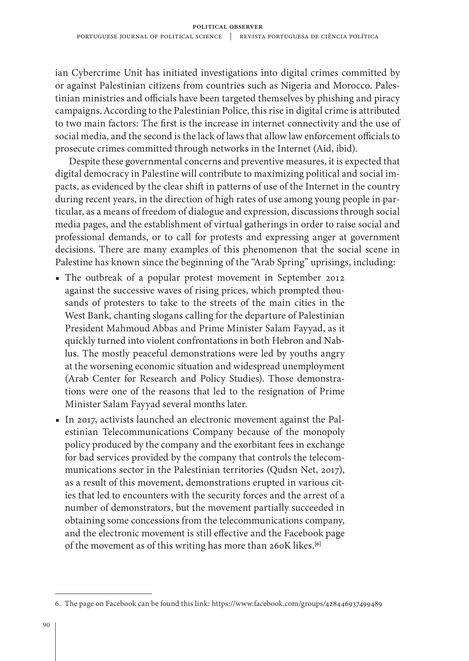ian Cybercrime Unit has initiated investigations into digital crimes committed by or against Palestinian citizens from countries such as Nigeria and Morocco. Palestinian ministries and officials have been targeted themselves by phishing and piracy campaigns. According to the Palestinian Police, this rise in digital crime is attributed to two main factors: The first is the increase in internet connectivity and the use of social media, and the second is the lack of laws that allow law enforcement officials to prosecute crimes committed through networks in the Internet (Aid, ibid).

Despite these governmental concerns and preventive measures, it is expected that digital democracy in Palestine will contribute to maximizing political and social impacts, as evidenced by the clear shift in patterns of use of the Internet in the country during recent years, in the direction of high rates of use among young people in particular, as a means of freedom of dialogue and expression, discussions through social media pages, and the establishment of virtual gatherings in order to raise social and professional demands, or to call for protests and expressing anger at government decisions. There are many examples of this phenomenon that the social scene in Palestine has known since the beginning of the "Arab Spring" uprisings, including:

- The outbreak of a popular protest movement in September 2012 against the successive waves of rising prices, which prompted thousands of protesters to take to the streets of the main cities in the West Bank, chanting slogans calling for the departure of Palestinian President Mahmoud Abbas and Prime Minister Salam Fayyad, as it quickly turned into violent confrontations in both Hebron and Nablus. The mostly peaceful demonstrations were led by youths angry at the worsening economic situation and widespread unemployment (Arab Center for Research and Policy Studies). Those demonstrations were one of the reasons that led to the resignation of Prime Minister Salam Fayyad several months later.
- In 2017, activists launched an electronic movement against the Palestinian Telecommunications Company because of the monopoly policy produced by the company and the exorbitant fees in exchange for bad services provided by the company that controls the telecommunications sector in the Palestinian territories (Qudsn Net, 2017), as a result of this movement, demonstrations erupted in various cities that led to encounters with the security forces and the arrest of a number of demonstrators, but the movement partially succeeded in obtaining some concessions from the telecommunications company, and the electronic movement is still effective and the Facebook page of the movement as of this writing has more than 260K likes.**[6]**

<sup>6.</sup> The page on Facebook can be found this link: <https://www.facebook.com/groups/428446937499489>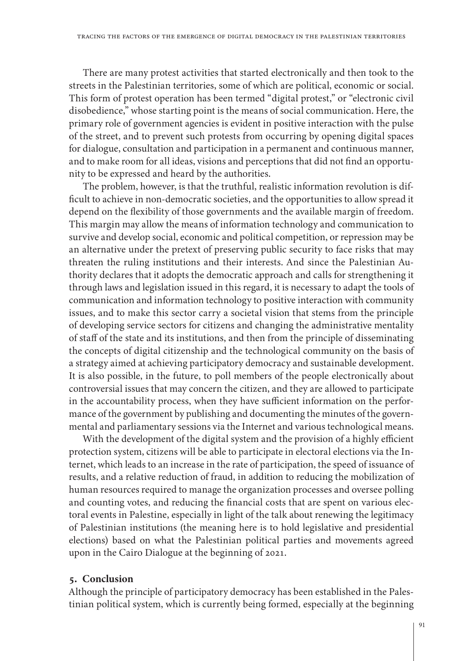There are many protest activities that started electronically and then took to the streets in the Palestinian territories, some of which are political, economic or social. This form of protest operation has been termed "digital protest," or "electronic civil disobedience," whose starting point is the means of social communication. Here, the primary role of government agencies is evident in positive interaction with the pulse of the street, and to prevent such protests from occurring by opening digital spaces for dialogue, consultation and participation in a permanent and continuous manner, and to make room for all ideas, visions and perceptions that did not find an opportunity to be expressed and heard by the authorities.

The problem, however, is that the truthful, realistic information revolution is difficult to achieve in non-democratic societies, and the opportunities to allow spread it depend on the flexibility of those governments and the available margin of freedom. This margin may allow the means of information technology and communication to survive and develop social, economic and political competition, or repression may be an alternative under the pretext of preserving public security to face risks that may threaten the ruling institutions and their interests. And since the Palestinian Authority declares that it adopts the democratic approach and calls for strengthening it through laws and legislation issued in this regard, it is necessary to adapt the tools of communication and information technology to positive interaction with community issues, and to make this sector carry a societal vision that stems from the principle of developing service sectors for citizens and changing the administrative mentality of staff of the state and its institutions, and then from the principle of disseminating the concepts of digital citizenship and the technological community on the basis of a strategy aimed at achieving participatory democracy and sustainable development. It is also possible, in the future, to poll members of the people electronically about controversial issues that may concern the citizen, and they are allowed to participate in the accountability process, when they have sufficient information on the performance of the government by publishing and documenting the minutes of the governmental and parliamentary sessions via the Internet and various technological means.

With the development of the digital system and the provision of a highly efficient protection system, citizens will be able to participate in electoral elections via the Internet, which leads to an increase in the rate of participation, the speed of issuance of results, and a relative reduction of fraud, in addition to reducing the mobilization of human resources required to manage the organization processes and oversee polling and counting votes, and reducing the financial costs that are spent on various electoral events in Palestine, especially in light of the talk about renewing the legitimacy of Palestinian institutions (the meaning here is to hold legislative and presidential elections) based on what the Palestinian political parties and movements agreed upon in the Cairo Dialogue at the beginning of 2021.

## **5. Conclusion**

Although the principle of participatory democracy has been established in the Palestinian political system, which is currently being formed, especially at the beginning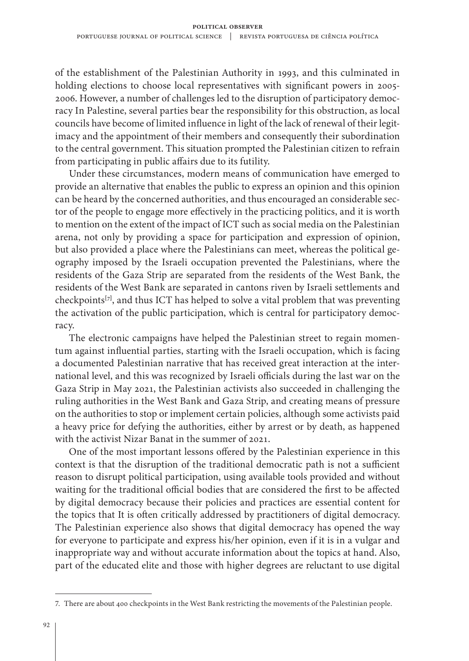of the establishment of the Palestinian Authority in 1993, and this culminated in holding elections to choose local representatives with significant powers in 2005- 2006. However, a number of challenges led to the disruption of participatory democracy In Palestine, several parties bear the responsibility for this obstruction, as local councils have become of limited influence in light of the lack of renewal of their legitimacy and the appointment of their members and consequently their subordination to the central government. This situation prompted the Palestinian citizen to refrain from participating in public affairs due to its futility.

Under these circumstances, modern means of communication have emerged to provide an alternative that enables the public to express an opinion and this opinion can be heard by the concerned authorities, and thus encouraged an considerable sector of the people to engage more effectively in the practicing politics, and it is worth to mention on the extent of the impact of ICT such as social media on the Palestinian arena, not only by providing a space for participation and expression of opinion, but also provided a place where the Palestinians can meet, whereas the political geography imposed by the Israeli occupation prevented the Palestinians, where the residents of the Gaza Strip are separated from the residents of the West Bank, the residents of the West Bank are separated in cantons riven by Israeli settlements and checkpoints**[7]**, and thus ICT has helped to solve a vital problem that was preventing the activation of the public participation, which is central for participatory democracy.

The electronic campaigns have helped the Palestinian street to regain momentum against influential parties, starting with the Israeli occupation, which is facing a documented Palestinian narrative that has received great interaction at the international level, and this was recognized by Israeli officials during the last war on the Gaza Strip in May 2021, the Palestinian activists also succeeded in challenging the ruling authorities in the West Bank and Gaza Strip, and creating means of pressure on the authorities to stop or implement certain policies, although some activists paid a heavy price for defying the authorities, either by arrest or by death, as happened with the activist Nizar Banat in the summer of 2021.

One of the most important lessons offered by the Palestinian experience in this context is that the disruption of the traditional democratic path is not a sufficient reason to disrupt political participation, using available tools provided and without waiting for the traditional official bodies that are considered the first to be affected by digital democracy because their policies and practices are essential content for the topics that It is often critically addressed by practitioners of digital democracy. The Palestinian experience also shows that digital democracy has opened the way for everyone to participate and express his/her opinion, even if it is in a vulgar and inappropriate way and without accurate information about the topics at hand. Also, part of the educated elite and those with higher degrees are reluctant to use digital

<sup>7.</sup> There are about 400 checkpoints in the West Bank restricting the movements of the Palestinian people.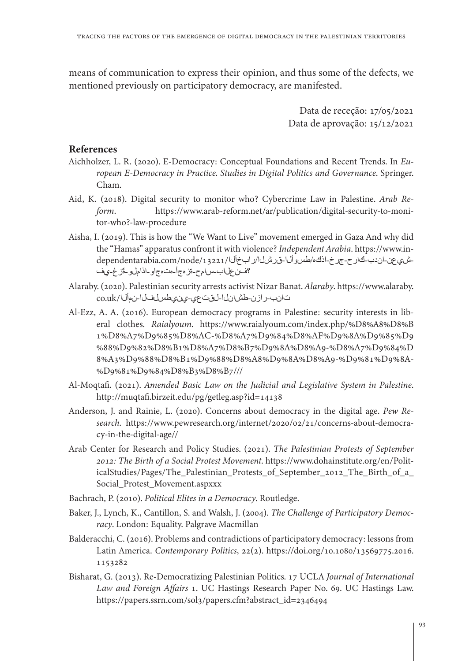means of communication to express their opinion, and thus some of the defects, we mentioned previously on participatory democracy, are manifested.

> Data de receção: 17/05/2021 Data de aprovação: 15/12/2021

## **References**

- Aichholzer, L. R. (2020). E-Democracy: Conceptual Foundations and Recent Trends. In *European E-Democracy in Practice*. *Studies in Digital Politics and Governance*. Springer. Cham.
- Aid, K. (2018). Digital security to monitor who? Cybercrime Law in Palestine. *Arab Reform*. [https://www.arab-reform.net/ar/publication/digital-security-to-moni](https://www.arab-reform.net/ar/publication/digital-security-to-monitor-who?-law-procedure)[tor-who?-law-procedure](https://www.arab-reform.net/ar/publication/digital-security-to-monitor-who?-law-procedure)
- Aisha, I. (2019). This is how the "We Want to Live" movement emerged in Gaza And why did -ش،ي عن-ان دب-تئار ح-جر خ-اذك%طسو ال-قن رشل/ر ابخ ال/13221/اتodependentarabia.com/node/<br>ففن على اب-س ام ح-ةز ه-جًاو--اذاملو--قز غ-ي ف the "Hamas" apparatus confront it with violence? *Independent Arabia.* https://www.in-<br>شي عن-اندب-كارح-جرخ-اذكه/طسوألـا-قرشل|/رابخأل|/كارمابنغام/13221/node/13221/ the "Hamas" apparatus confront it with violence? Independent Arabia. https://www.in-
- Alaraby. (2020). Palestinian security arrests activist Nizar Banat. *Alaraby*. [https://www.alaraby.](https://www.alaraby.co.uk/الأمن-الفلسطيني-يعتقل-الناشط-نزار-بنات) تانب-رازن-طش انل القت عي-ين يطس لفل ا-نمأل ا/co.uk
- Al-Ezz, A. A. (2016). European democracy programs in Palestine: security interests in liberal clothes. *Raialyoum*. [https://www.raialyoum.com/index.php/%D8%A8%D8%B](https://www.raialyoum.com/index.php/%D8%A8%D8%B1%D8%A7%D9%85%D8%AC-%D8%A7%D9%84%D8%AF%D9%8A%D9%85%D9%88%D9%82%D8%B1%D8%A7%D8%B7%D9%8A%D8%A9-%D8%A7%D9%84%D8%A3%D9%88%D8%B1%D9%88%D8%A8%D9%8A%D8%A9-%D9%81%D9%8A-%D9%81%D9%84%D8%B3%D8%B7///) [1%D8%A7%D9%85%D8%AC-%D8%A7%D9%84%D8%AF%D9%8A%D9%85%D9](https://www.raialyoum.com/index.php/%D8%A8%D8%B1%D8%A7%D9%85%D8%AC-%D8%A7%D9%84%D8%AF%D9%8A%D9%85%D9%88%D9%82%D8%B1%D8%A7%D8%B7%D9%8A%D8%A9-%D8%A7%D9%84%D8%A3%D9%88%D8%B1%D9%88%D8%A8%D9%8A%D8%A9-%D9%81%D9%8A-%D9%81%D9%84%D8%B3%D8%B7///) [%88%D9%82%D8%B1%D8%A7%D8%B7%D9%8A%D8%A9-%D8%A7%D9%84%D](https://www.raialyoum.com/index.php/%D8%A8%D8%B1%D8%A7%D9%85%D8%AC-%D8%A7%D9%84%D8%AF%D9%8A%D9%85%D9%88%D9%82%D8%B1%D8%A7%D8%B7%D9%8A%D8%A9-%D8%A7%D9%84%D8%A3%D9%88%D8%B1%D9%88%D8%A8%D9%8A%D8%A9-%D9%81%D9%8A-%D9%81%D9%84%D8%B3%D8%B7///) [8%A3%D9%88%D8%B1%D9%88%D8%A8%D9%8A%D8%A9-%D9%81%D9%8A-](https://www.raialyoum.com/index.php/%D8%A8%D8%B1%D8%A7%D9%85%D8%AC-%D8%A7%D9%84%D8%AF%D9%8A%D9%85%D9%88%D9%82%D8%B1%D8%A7%D8%B7%D9%8A%D8%A9-%D8%A7%D9%84%D8%A3%D9%88%D8%B1%D9%88%D8%A8%D9%8A%D8%A9-%D9%81%D9%8A-%D9%81%D9%84%D8%B3%D8%B7///) [%D9%81%D9%84%D8%B3%D8%B7///](https://www.raialyoum.com/index.php/%D8%A8%D8%B1%D8%A7%D9%85%D8%AC-%D8%A7%D9%84%D8%AF%D9%8A%D9%85%D9%88%D9%82%D8%B1%D8%A7%D8%B7%D9%8A%D8%A9-%D8%A7%D9%84%D8%A3%D9%88%D8%B1%D9%88%D8%A8%D9%8A%D8%A9-%D9%81%D9%8A-%D9%81%D9%84%D8%B3%D8%B7///)
- Al-Moqtafi. (2021). *Amended Basic Law on the Judicial and Legislative System in Palestine*. <http://muqtafi.birzeit.edu/pg/getleg.asp?id=14138>
- Anderson, J. and Rainie, L. (2020). Concerns about democracy in the digital age. *Pew Research*. [https://www.pewresearch.org/internet/2020/02/21/concerns-about-democra](https://www.pewresearch.org/internet/2020/02/21/concerns-about-democracy-%20in-the-digital-age//)[cy-in-the-digital-age//](https://www.pewresearch.org/internet/2020/02/21/concerns-about-democracy-%20in-the-digital-age//)
- Arab Center for Research and Policy Studies. (2021). *The Palestinian Protests of September 2012: The Birth of a Social Protest Movement*. [https://www.dohainstitute.org/en/Polit](https://www.dohainstitute.org/en/PoliticalStudies/Pages/The_Palestinian_Protests_of_September_2012_The_Birth_of_a_Social_Protest_Movement.aspxxx)[icalStudies/Pages/The\\_Palestinian\\_Protests\\_of\\_September\\_2012\\_The\\_Birth\\_of\\_a\\_](https://www.dohainstitute.org/en/PoliticalStudies/Pages/The_Palestinian_Protests_of_September_2012_The_Birth_of_a_Social_Protest_Movement.aspxxx) [Social\\_Protest\\_Movement.aspxxx](https://www.dohainstitute.org/en/PoliticalStudies/Pages/The_Palestinian_Protests_of_September_2012_The_Birth_of_a_Social_Protest_Movement.aspxxx)
- Bachrach, P. (2010). *Political Elites in a Democracy*. Routledge.
- Baker, J., Lynch, K., Cantillon, S. and Walsh, J. (2004). *The Challenge of Participatory Democracy*. London: Equality. Palgrave Macmillan
- Balderacchi, C. (2016). Problems and contradictions of participatory democracy: lessons from Latin America. *Contemporary Politics*, 22(2). [https://doi.org/10.1080/13569775.2016.](https://doi.org/10.1080/13569775.2016.1153282) [1153282](https://doi.org/10.1080/13569775.2016.1153282)
- Bisharat, G. (2013). Re-Democratizing Palestinian Politics. 17 UCLA *Journal of International Law and Foreign Affairs* 1. UC Hastings Research Paper No. 69. UC Hastings Law. [https://papers.ssrn.com/sol3/papers.cfm?abstract\\_id=2346494](https://papers.ssrn.com/sol3/papers.cfm?abstract_id=2346494)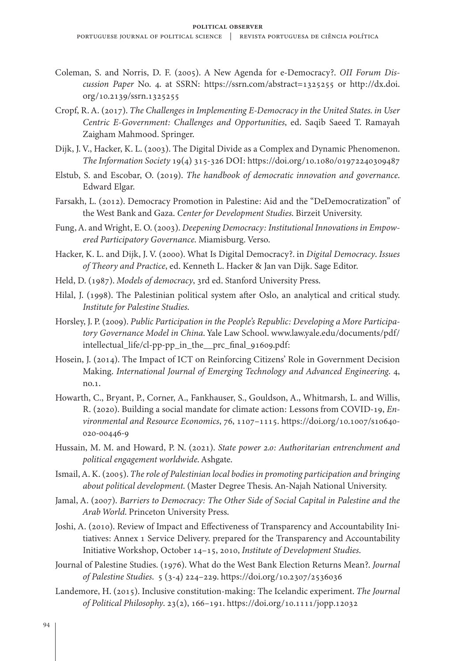- Coleman, S. and Norris, D. F. (2005). A New Agenda for e-Democracy?. *OII Forum Discussion Paper* No. 4. at SSRN: <https://ssrn.com/abstract=1325255> or [http://dx.doi.](http://dx.doi.org/10.2139/ssrn.1325255) [org/10.2139/ssrn.1325255](http://dx.doi.org/10.2139/ssrn.1325255)
- Cropf, R. A. (2017). *The Challenges in Implementing E-Democracy in the United States. in User Centric E-Government: Challenges and Opportunities*, ed. Saqib Saeed T. Ramayah Zaigham Mahmood. Springer.
- Dijk, J. V., Hacker, K. L. (2003). The Digital Divide as a Complex and Dynamic Phenomenon. *The Information Society* 19(4) 315-326 DOI:<https://doi.org/10.1080/01972240309487>
- Elstub, S. and Escobar, O. (2019). *The handbook of democratic innovation and governance*. Edward Elgar.
- Farsakh, L. (2012). Democracy Promotion in Palestine: Aid and the "DeDemocratization" of the West Bank and Gaza. *Center for Development Studies*. Birzeit University.
- Fung, A. and Wright, E. O. (2003). *Deepening Democracy: Institutional Innovations in Empowered Participatory Governance*. Miamisburg. Verso.
- Hacker, K. L. and Dijk, J. V. (2000). What Is Digital Democracy?. in *Digital Democracy*. *Issues of Theory and Practice*, ed. Kenneth L. Hacker & Jan van Dijk. Sage Editor.
- Held, D. (1987). *Models of democracy*, 3rd ed. Stanford University Press.
- Hilal, J. (1998). The Palestinian political system after Oslo, an analytical and critical study. *Institute for Palestine Studies*.
- Horsley, J. P. (2009). *Public Participation in the People's Republic: Developing a More Participatory Governance Model in China*. Yale Law School. [www.law.yale.edu/documents/pdf/](http://www.law.yale.edu/documents/pdf/intellectual_life/cl-pp-pp_in_the__prc_final_91609.pdf) [intellectual\\_life/cl-pp-pp\\_in\\_the\\_\\_prc\\_final\\_91609.pdf:](http://www.law.yale.edu/documents/pdf/intellectual_life/cl-pp-pp_in_the__prc_final_91609.pdf)
- Hosein, J. (2014). The Impact of ICT on Reinforcing Citizens' Role in Government Decision Making. *International Journal of Emerging Technology and Advanced Engineering*. 4, no.1.
- Howarth, C., Bryant, P., Corner, A., Fankhauser, S., Gouldson, A., Whitmarsh, L. and Willis, R. (2020). Building a social mandate for climate action: Lessons from COVID-19, *Environmental and Resource Economics*, 76, 1107–1115. [https://doi.org/10.1007/s10640-](https://doi.org/10.1007/s10640-020-00446-9) [020-00446-9](https://doi.org/10.1007/s10640-020-00446-9)
- Hussain, M. M. and Howard, P. N. (2021). *State power 2.0: Authoritarian entrenchment and political engagement worldwide*. Ashgate.
- Ismail, A. K. (2005). *The role of Palestinian local bodies in promoting participation and bringing about political development*. (Master Degree Thesis. An-Najah National University.
- Jamal, A. (2007). *Barriers to Democracy: The Other Side of Social Capital in Palestine and the Arab World*. Princeton University Press.
- Joshi, A. (2010). Review of Impact and Effectiveness of Transparency and Accountability Initiatives: Annex 1 Service Delivery. prepared for the Transparency and Accountability Initiative Workshop, October 14–15, 2010, *Institute of Development Studies*.
- Journal of Palestine Studies. (1976). What do the West Bank Election Returns Mean?. *Journal of Palestine Studies*. 5 (3-4) 224–229.<https://doi.org/10.2307/2536036>
- Landemore, H. (2015). Inclusive constitution-making: The Icelandic experiment. *The Journal of Political Philosophy*. 23(2), 166–191.<https://doi.org/10.1111/jopp.12032>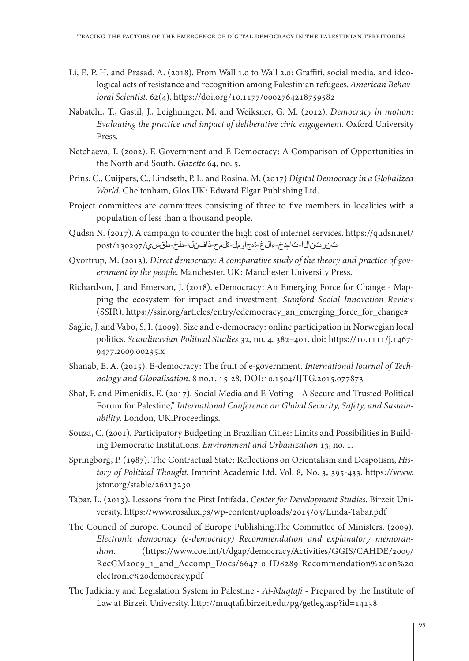- Li, E. P. H. and Prasad, A. (2018). From Wall 1.0 to Wall 2.0: Graffiti, social media, and ideological acts of resistance and recognition among Palestinian refugees. *American Behavioral Scientist*. 62(4).<https://doi.org/10.1177/0002764218759582>
- Nabatchi, T., Gastil, J., Leighninger, M. and Weiksner, G. M. (2012). *Democracy in motion: Evaluating the practice and impact of deliberative civic engagement*. Oxford University Press.
- Netchaeva, I. (2002). E-Government and E-Democracy: A Comparison of Opportunities in the North and South. *Gazette* 64, no. 5.
- Prins, C., Cuijpers, C., Lindseth, P. L. and Rosina, M. (2017) *Digital Democracy in a Globalized World*. Cheltenham, Glos UK: Edward Elgar Publishing Ltd.
- Project committees are committees consisting of three to five members in localities with a population of less than a thousand people.
- Qudsn N. (2017). A campaign to counter the high cost of internet services. [https://qudsn.net/](https://qudsn.net/post/130297/يسقط-خط-النفاذ-حملة-لمواجهة-غلاء-خدمات-الانترنت) [تنرتنالا-تامدخ-ءالغ-ةهجاومل-ةلمح-ذافنلا-طخ-طقسي](https://qudsn.net/post/130297/يسقط-خط-النفاذ-حملة-لمواجهة-غلاء-خدمات-الانترنت)/130297/post
- Qvortrup, M. (2013). *Direct democracy: A comparative study of the theory and practice of government by the people*. Manchester. UK: Manchester University Press.
- Richardson, J. and Emerson, J. (2018). eDemocracy: An Emerging Force for Change Mapping the ecosystem for impact and investment. *Stanford Social Innovation Review* (SSIR). [https://ssir.org/articles/entry/edemocracy\\_an\\_emerging\\_force\\_for\\_change#](https://ssir.org/articles/entry/edemocracy_an_emerging_force_for_change)
- Saglie, J. and Vabo, S. I. (2009). Size and e-democracy: online participation in Norwegian local politics. *Scandinavian Political Studies* 32, no. 4. 382–401. doi: [https://10.1111/j.1467-](https://10.1111/j.1467-9477.2009.00235.x) [9477.2009.00235.x](https://10.1111/j.1467-9477.2009.00235.x)
- Shanab, E. A. (2015). E-democracy: The fruit of e-government. *International Journal of Technology and Globalisation*. 8 no.1. 15-28, DOI:10.1504/IJTG.2015.077873
- Shat, F. and Pimenidis, E. (2017). Social Media and E-Voting A Secure and Trusted Political Forum for Palestine," *International Conference on Global Security, Safety, and Sustainability*. London, UK.Proceedings.
- Souza, C. (2001). Participatory Budgeting in Brazilian Cities: Limits and Possibilities in Building Democratic Institutions. *Environment and Urbanization* 13, no. 1.
- Springborg, P. (1987). The Contractual State: Reflections on Orientalism and Despotism, *History of Political Thought*. Imprint Academic Ltd. Vol. 8, No. 3, 395-433. [https://www.](https://www.jstor.org/stable/26213230) [jstor.org/stable/26213230](https://www.jstor.org/stable/26213230)
- Tabar, L. (2013). Lessons from the First Intifada. *Center for Development Studies*. Birzeit University. <https://www.rosalux.ps/wp-content/uploads/2015/03/Linda-Tabar.pdf>
- The Council of Europe. Council of Europe Publishing.The Committee of Ministers. (2009). *Electronic democracy (e-democracy) Recommendation and explanatory memorandum*. ([https://www.coe.int/t/dgap/democracy/Activities/GGIS/CAHDE/2009/](https://www.coe.int/t/dgap/democracy/Activities/GGIS/CAHDE/2009/RecCM2009_1_and_Accomp_Docs/6647-0-ID8289-Recommendation%20on%20electronic%20democracy.pdf) [RecCM2009\\_1\\_and\\_Accomp\\_Docs/6647-0-ID8289-Recommendation%20on%20](https://www.coe.int/t/dgap/democracy/Activities/GGIS/CAHDE/2009/RecCM2009_1_and_Accomp_Docs/6647-0-ID8289-Recommendation%20on%20electronic%20democracy.pdf) [electronic%20democracy.pdf](https://www.coe.int/t/dgap/democracy/Activities/GGIS/CAHDE/2009/RecCM2009_1_and_Accomp_Docs/6647-0-ID8289-Recommendation%20on%20electronic%20democracy.pdf)
- The Judiciary and Legislation System in Palestine *Al-Muqtafi* Prepared by the Institute of Law at Birzeit University. <http://muqtafi.birzeit.edu/pg/getleg.asp?id=14138>